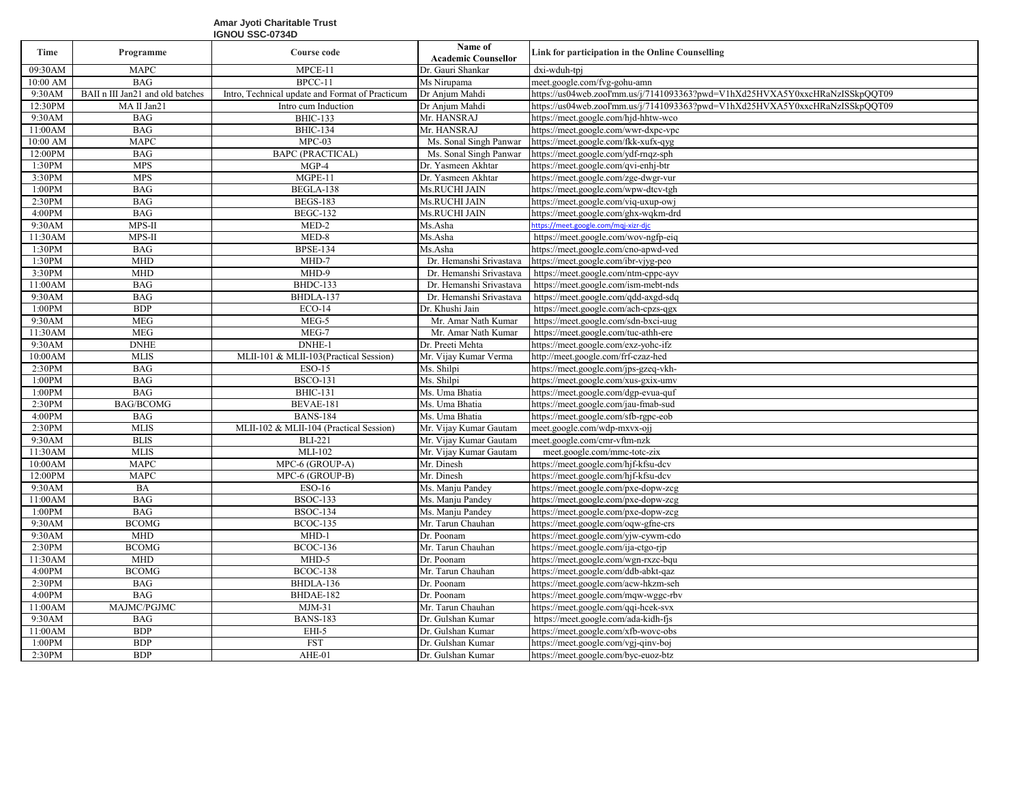## **Amar Jyoti Charitable Trust IGNOU SSC-0734D**

| Time                 | Programme                        | Course code                                     | Name of<br><b>Academic Counsellor</b> | Link for participation in the Online Counselling                             |
|----------------------|----------------------------------|-------------------------------------------------|---------------------------------------|------------------------------------------------------------------------------|
| 09:30AM              | <b>MAPC</b>                      | MPCE-11                                         | Dr. Gauri Shankar                     | dxi-wduh-tpi                                                                 |
| 10:00 AM             | <b>BAG</b>                       | BPCC-11                                         | Ms Nirupama                           | meet.google.com/fvg-gohu-amn                                                 |
| 9:30AM               | BAII n III Jan21 and old batches | Intro, Technical update and Format of Practicum | Dr Anjum Mahdi                        | https://us04web.zooI'mm.us/j/7141093363?pwd=V1hXd25HVXA5Y0xxcHRaNzISSkpQQT09 |
| 12:30PM              | MA II Jan21                      | Intro cum Induction                             | Dr Anjum Mahdi                        | https://us04web.zooI'mm.us/j/7141093363?pwd=V1hXd25HVXA5Y0xxcHRaNzISSkpQQT09 |
| 9:30AM               | <b>BAG</b>                       | <b>BHIC-133</b>                                 | Mr. HANSRAJ                           | https://meet.google.com/hjd-hhtw-wco                                         |
| 11:00AM              | <b>BAG</b>                       | <b>BHIC-134</b>                                 | Mr. HANSRAJ                           | https://meet.google.com/wwr-dxpc-vpc                                         |
| 10:00 AM             | <b>MAPC</b>                      | $MPC-03$                                        | Ms. Sonal Singh Panwar                | https://meet.google.com/fkk-xufx-qyg                                         |
| 12:00PM              | <b>BAG</b>                       | <b>BAPC (PRACTICAL)</b>                         | Ms. Sonal Singh Panwar                | https://meet.google.com/ydf-rnqz-sph                                         |
| 1:30PM               | <b>MPS</b>                       | $MGP-4$                                         | Dr. Yasmeen Akhtar                    | https://meet.google.com/qvi-enhj-btr                                         |
| 3:30PM               | <b>MPS</b>                       | $MGPE-11$                                       | Dr. Yasmeen Akhtar                    | https://meet.google.com/zge-dwgr-vur                                         |
| 1:00PM               | <b>BAG</b>                       | BEGLA-138                                       | Ms.RUCHI JAIN                         | https://meet.google.com/wpw-dtcv-tgh                                         |
| 2:30PM               | <b>BAG</b>                       | <b>BEGS-183</b>                                 | Ms.RUCHI JAIN                         | https://meet.google.com/viq-uxup-owi                                         |
| 4:00PM               | <b>BAG</b>                       | <b>BEGC-132</b>                                 | Ms.RUCHI JAIN                         | https://meet.google.com/ghx-wqkm-drd                                         |
| 9:30AM               | MPS-II                           | MED-2                                           | Ms.Asha                               | https://meet.google.com/mqj-xizr-djc                                         |
| 11:30AM              | MPS-II                           | MED-8                                           | Ms.Asha                               | https://meet.google.com/wov-ngfp-eiq                                         |
| 1:30PM               | <b>BAG</b>                       | <b>BPSE-134</b>                                 | Ms.Asha                               | https://meet.google.com/cno-apwd-ved                                         |
| 1:30PM               | <b>MHD</b>                       | MHD-7                                           | Dr. Hemanshi Srivastava               | https://meet.google.com/ibr-vjyg-peo                                         |
| 3:30PM               | <b>MHD</b>                       | MHD-9                                           | Dr. Hemanshi Srivastava               | https://meet.google.com/ntm-cppc-ayv                                         |
| 11:00AM              | <b>BAG</b>                       | BHDC-133                                        | Dr. Hemanshi Srivastava               | https://meet.google.com/ism-mebt-nds                                         |
| 9:30AM               | <b>BAG</b>                       | BHDLA-137                                       | Dr. Hemanshi Srivastava               | https://meet.google.com/qdd-axgd-sdq                                         |
| 1:00PM               | <b>BDP</b>                       | $ECO-14$                                        | Dr. Khushi Jain                       | https://meet.google.com/ach-cpzs-qgx                                         |
| 9:30AM               | <b>MEG</b>                       | $MEG-5$                                         | Mr. Amar Nath Kumar                   | https://meet.google.com/sdn-bxci-uug                                         |
| 11:30AM              | <b>MEG</b>                       | MEG-7                                           | Mr. Amar Nath Kumar                   | https://meet.google.com/tuc-athh-ere                                         |
| 9:30AM               | <b>DNHE</b>                      | DNHE-1                                          | Dr. Preeti Mehta                      | https://meet.google.com/exz-yohc-ifz                                         |
| 10:00AM              | <b>MLIS</b>                      | MLII-101 & MLII-103(Practical Session)          | Mr. Vijay Kumar Verma                 | http://meet.google.com/frf-czaz-hed                                          |
| 2:30PM               | <b>BAG</b>                       | <b>ESO-15</b>                                   | Ms. Shilpi                            | https://meet.google.com/jps-gzeq-vkh-                                        |
| 1:00PM               | <b>BAG</b>                       | <b>BSCO-131</b>                                 | Ms. Shilpi                            | https://meet.google.com/xus-gxix-umv                                         |
| 1:00PM               | <b>BAG</b>                       | <b>BHIC-131</b>                                 | Ms. Uma Bhatia                        | https://meet.google.com/dgp-evua-quf                                         |
| 2:30PM               | <b>BAG/BCOMG</b>                 | BEVAE-181                                       | Ms. Uma Bhatia                        | https://meet.google.com/jau-fmab-sud                                         |
| 4:00PM               | <b>BAG</b>                       | <b>BANS-184</b>                                 | Ms. Uma Bhatia                        | https://meet.google.com/sfb-rgpc-eob                                         |
| 2:30PM               | <b>MLIS</b>                      | MLII-102 & MLII-104 (Practical Session)         | Mr. Vijay Kumar Gautam                | meet.google.com/wdp-mxvx-ojj                                                 |
| 9:30AM               | <b>BLIS</b>                      | <b>BLI-221</b>                                  | Mr. Vijay Kumar Gautam                | meet.google.com/cmr-vftm-nzk                                                 |
| 11:30AM              | <b>MLIS</b>                      | $MLI-102$                                       | Mr. Vijay Kumar Gautam                | meet.google.com/mmc-totc-zix                                                 |
| 10:00AM              | <b>MAPC</b>                      | MPC-6 (GROUP-A)                                 | Mr. Dinesh                            | https://meet.google.com/hjf-kfsu-dcv                                         |
| $12:00\overline{PM}$ | <b>MAPC</b>                      | MPC-6 (GROUP-B)                                 | Mr. Dinesh                            | https://meet.google.com/hjf-kfsu-dcv                                         |
| 9:30AM               | <b>BA</b>                        | ESO-16                                          | Ms. Manju Pandev                      | https://meet.google.com/pxe-dopw-zcg                                         |
| 11:00AM              | <b>BAG</b>                       | <b>BSOC-133</b>                                 | Ms. Manju Pandey                      | https://meet.google.com/pxe-dopw-zcg                                         |
| 1:00PM               | <b>BAG</b>                       | <b>BSOC-134</b>                                 | Ms. Manju Pandey                      | https://meet.google.com/pxe-dopw-zcg                                         |
| 9:30AM               | <b>BCOMG</b>                     | <b>BCOC-135</b>                                 | Mr. Tarun Chauhan                     | https://meet.google.com/oqw-gfne-crs                                         |
| 9:30AM               | <b>MHD</b>                       | $MHD-1$                                         | Dr. Poonam                            | https://meet.google.com/yjw-cywm-cdo                                         |
| 2:30PM               | <b>BCOMG</b>                     | <b>BCOC-136</b>                                 | Mr. Tarun Chauhan                     | https://meet.google.com/ija-ctgo-rip                                         |
| 11:30AM              | <b>MHD</b>                       | MHD-5                                           | Dr. Poonam                            | https://meet.google.com/wgn-rxzc-bqu                                         |
| 4:00PM               | <b>BCOMG</b>                     | <b>BCOC-138</b>                                 | Mr. Tarun Chauhan                     | https://meet.google.com/ddb-abkt-qaz                                         |
| 2:30PM               | <b>BAG</b>                       | BHDLA-136                                       | Dr. Poonam                            | https://meet.google.com/acw-hkzm-seh                                         |
| 4:00PM               | <b>BAG</b>                       | BHDAE-182                                       | Dr. Poonam                            | https://meet.google.com/mqw-wggc-rbv                                         |
| 11:00AM              | MAJMC/PGJMC                      | $MJM-31$                                        | Mr. Tarun Chauhan                     | https://meet.google.com/qqi-hcek-svx                                         |
| 9:30AM               | <b>BAG</b>                       | <b>BANS-183</b>                                 | Dr. Gulshan Kumar                     | https://meet.google.com/ada-kidh-fjs                                         |
| 11:00AM              | <b>BDP</b><br><b>BDP</b>         | EHI-5<br><b>FST</b>                             | Dr. Gulshan Kumar                     | https://meet.google.com/xfb-wovc-obs                                         |
| 1:00PM               | <b>BDP</b>                       |                                                 | Dr. Gulshan Kumar                     | https://meet.google.com/vgj-qinv-boj                                         |
| 2:30PM               |                                  | $\overline{\text{AHE}}$ -01                     | Dr. Gulshan Kumar                     | https://meet.google.com/byc-euoz-btz                                         |